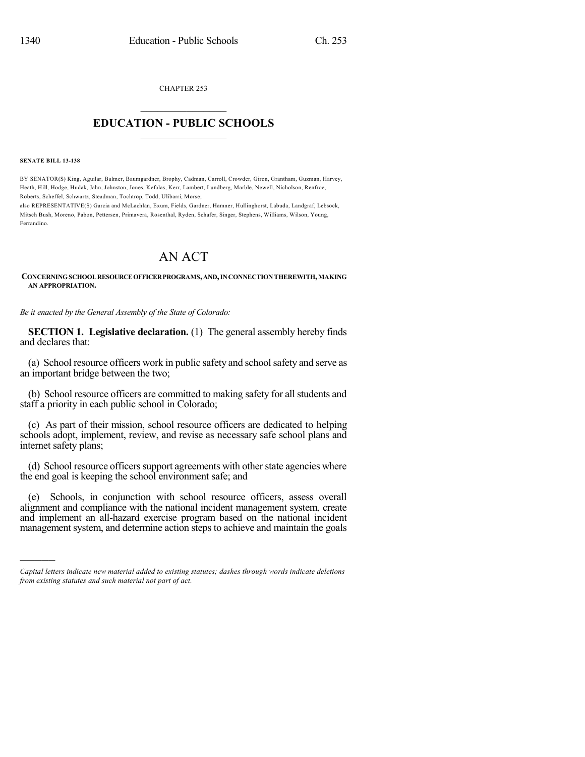CHAPTER 253

## $\mathcal{L}_\text{max}$  . The set of the set of the set of the set of the set of the set of the set of the set of the set of the set of the set of the set of the set of the set of the set of the set of the set of the set of the set **EDUCATION - PUBLIC SCHOOLS**  $\_$   $\_$   $\_$   $\_$   $\_$   $\_$   $\_$   $\_$   $\_$

**SENATE BILL 13-138**

)))))

BY SENATOR(S) King, Aguilar, Balmer, Baumgardner, Brophy, Cadman, Carroll, Crowder, Giron, Grantham, Guzman, Harvey, Heath, Hill, Hodge, Hudak, Jahn, Johnston, Jones, Kefalas, Kerr, Lambert, Lundberg, Marble, Newell, Nicholson, Renfroe, Roberts, Scheffel, Schwartz, Steadman, Tochtrop, Todd, Ulibarri, Morse;

also REPRESENTATIVE(S) Garcia and McLachlan, Exum, Fields, Gardner, Hamner, Hullinghorst, Labuda, Landgraf, Lebsock, Mitsch Bush, Moreno, Pabon, Pettersen, Primavera, Rosenthal, Ryden, Schafer, Singer, Stephens, Williams, Wilson, Young, Ferrandino.

## AN ACT

## **CONCERNINGSCHOOLRESOURCEOFFICERPROGRAMS,AND,INCONNECTIONTHEREWITH,MAKING AN APPROPRIATION.**

*Be it enacted by the General Assembly of the State of Colorado:*

**SECTION 1. Legislative declaration.** (1) The general assembly hereby finds and declares that:

(a) School resource officers work in public safety and schoolsafety and serve as an important bridge between the two;

(b) School resource officers are committed to making safety for allstudents and staff a priority in each public school in Colorado;

(c) As part of their mission, school resource officers are dedicated to helping schools adopt, implement, review, and revise as necessary safe school plans and internet safety plans;

(d) School resource officers support agreements with other state agencies where the end goal is keeping the school environment safe; and

(e) Schools, in conjunction with school resource officers, assess overall alignment and compliance with the national incident management system, create and implement an all-hazard exercise program based on the national incident management system, and determine action steps to achieve and maintain the goals

*Capital letters indicate new material added to existing statutes; dashes through words indicate deletions from existing statutes and such material not part of act.*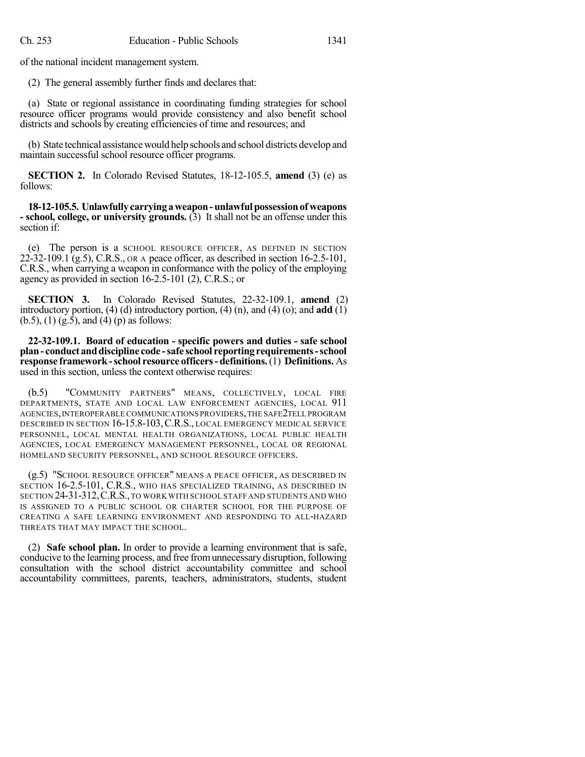of the national incident management system.

(2) The general assembly further finds and declares that:

(a) State or regional assistance in coordinating funding strategies for school resource officer programs would provide consistency and also benefit school districts and schools by creating efficiencies of time and resources; and

(b) State technical assistancewould help schools and school districts develop and maintain successful school resource officer programs.

**SECTION 2.** In Colorado Revised Statutes, 18-12-105.5, **amend** (3) (e) as follows:

**18-12-105.5. Unlawfullycarryingaweapon-unlawfulpossessionof weapons - school, college, or university grounds.** (3) It shall not be an offense under this section if:

(e) The person is a SCHOOL RESOURCE OFFICER, AS DEFINED IN SECTION  $22-32-109.1$  (g.5), C.R.S., OR A peace officer, as described in section 16-2.5-101, C.R.S., when carrying a weapon in conformance with the policy of the employing agency as provided in section 16-2.5-101 (2), C.R.S.; or

**SECTION 3.** In Colorado Revised Statutes, 22-32-109.1, **amend** (2) introductory portion, (4) (d) introductory portion, (4) (n), and (4) (o); and **add** (1)  $(b.5)$ ,  $(1)$   $(g.\overline{5})$ , and  $(4)$   $(p)$  as follows:

**22-32-109.1. Board of education - specific powers and duties - safe school plan- conduct anddiscipline code -safe school reporting requirements-school response framework-school resource officers- definitions.**(1) **Definitions.** As used in this section, unless the context otherwise requires:

(b.5) "COMMUNITY PARTNERS" MEANS, COLLECTIVELY, LOCAL FIRE DEPARTMENTS, STATE AND LOCAL LAW ENFORCEMENT AGENCIES, LOCAL 911 AGENCIES,INTEROPERABLE COMMUNICATIONS PROVIDERS,THE SAFE2TELL PROGRAM DESCRIBED IN SECTION 16-15.8-103,C.R.S., LOCAL EMERGENCY MEDICAL SERVICE PERSONNEL, LOCAL MENTAL HEALTH ORGANIZATIONS, LOCAL PUBLIC HEALTH AGENCIES, LOCAL EMERGENCY MANAGEMENT PERSONNEL, LOCAL OR REGIONAL HOMELAND SECURITY PERSONNEL, AND SCHOOL RESOURCE OFFICERS.

(g.5) "SCHOOL RESOURCE OFFICER" MEANS A PEACE OFFICER, AS DESCRIBED IN SECTION 16-2.5-101, C.R.S., WHO HAS SPECIALIZED TRAINING, AS DESCRIBED IN SECTION 24-31-312, C.R.S., TO WORK WITH SCHOOL STAFF AND STUDENTS AND WHO IS ASSIGNED TO A PUBLIC SCHOOL OR CHARTER SCHOOL FOR THE PURPOSE OF CREATING A SAFE LEARNING ENVIRONMENT AND RESPONDING TO ALL-HAZARD THREATS THAT MAY IMPACT THE SCHOOL.

(2) **Safe school plan.** In order to provide a learning environment that is safe, conducive to the learning process, and free fromunnecessary disruption, following consultation with the school district accountability committee and school accountability committees, parents, teachers, administrators, students, student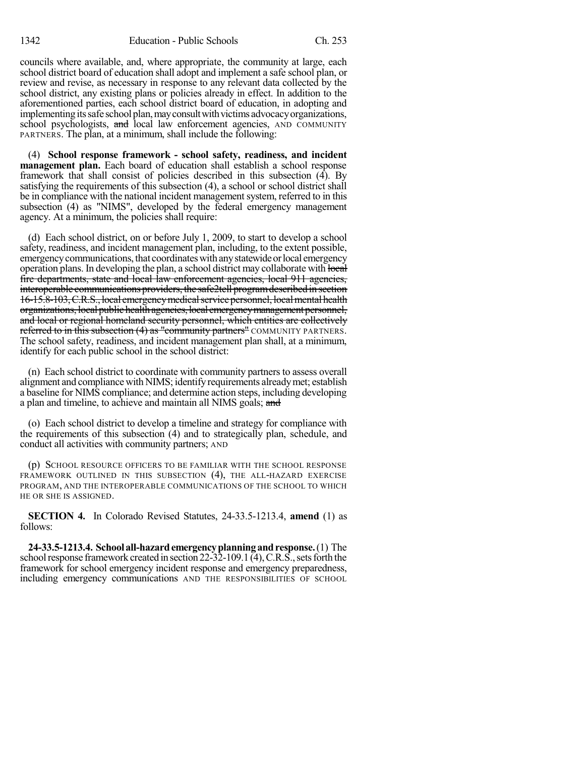councils where available, and, where appropriate, the community at large, each school district board of education shall adopt and implement a safe school plan, or review and revise, as necessary in response to any relevant data collected by the school district, any existing plans or policies already in effect. In addition to the aforementioned parties, each school district board of education, in adopting and implementing its safe school plan, may consult with victims advocacy organizations, school psychologists, and local law enforcement agencies, AND COMMUNITY PARTNERS. The plan, at a minimum, shall include the following:

(4) **School response framework - school safety, readiness, and incident management plan.** Each board of education shall establish a school response framework that shall consist of policies described in this subsection (4). By satisfying the requirements of this subsection (4), a school or school district shall be in compliance with the national incident management system, referred to in this subsection (4) as "NIMS", developed by the federal emergency management agency. At a minimum, the policies shall require:

(d) Each school district, on or before July 1, 2009, to start to develop a school safety, readiness, and incident management plan, including, to the extent possible, emergency communications, that coordinates with any statewide or local emergency operation plans. In developing the plan, a school district may collaborate with local fire departments, state and local law enforcement agencies, local 911 agencies, interoperable communications providers, the safe2tell program described in section 16-15.8-103, C.R.S., local emergency medical service personnel, local mental health organizations, local public health agencies, local emergency management personnel, and local or regional homeland security personnel, which entities are collectively referred to in this subsection (4) as "community partners" COMMUNITY PARTNERS. The school safety, readiness, and incident management plan shall, at a minimum, identify for each public school in the school district:

(n) Each school district to coordinate with community partners to assess overall alignment and compliance with NIMS; identify requirements alreadymet; establish a baseline for NIMS compliance; and determine action steps, including developing a plan and timeline, to achieve and maintain all NIMS goals; and

(o) Each school district to develop a timeline and strategy for compliance with the requirements of this subsection (4) and to strategically plan, schedule, and conduct all activities with community partners; AND

(p) SCHOOL RESOURCE OFFICERS TO BE FAMILIAR WITH THE SCHOOL RESPONSE FRAMEWORK OUTLINED IN THIS SUBSECTION (4), THE ALL-HAZARD EXERCISE PROGRAM, AND THE INTEROPERABLE COMMUNICATIONS OF THE SCHOOL TO WHICH HE OR SHE IS ASSIGNED.

**SECTION 4.** In Colorado Revised Statutes, 24-33.5-1213.4, **amend** (1) as follows:

**24-33.5-1213.4. School all-hazardemergencyplanningandresponse.**(1) The school response framework created in section  $22-32-109.1$  (4), C.R.S., sets forth the framework for school emergency incident response and emergency preparedness, including emergency communications AND THE RESPONSIBILITIES OF SCHOOL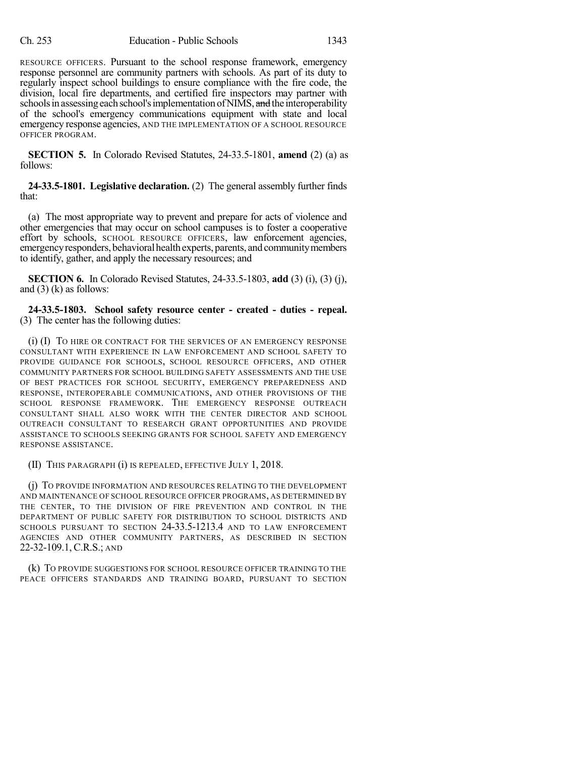RESOURCE OFFICERS. Pursuant to the school response framework, emergency response personnel are community partners with schools. As part of its duty to regularly inspect school buildings to ensure compliance with the fire code, the division, local fire departments, and certified fire inspectors may partner with schools in assessing each school's implementation of NIMS, and the interoperability of the school's emergency communications equipment with state and local emergency response agencies, AND THE IMPLEMENTATION OF A SCHOOL RESOURCE OFFICER PROGRAM.

**SECTION 5.** In Colorado Revised Statutes, 24-33.5-1801, **amend** (2) (a) as follows:

**24-33.5-1801. Legislative declaration.** (2) The general assembly further finds that:

(a) The most appropriate way to prevent and prepare for acts of violence and other emergencies that may occur on school campuses is to foster a cooperative effort by schools, SCHOOL RESOURCE OFFICERS, law enforcement agencies, emergency responders, behavioral health experts, parents, and community members to identify, gather, and apply the necessary resources; and

**SECTION 6.** In Colorado Revised Statutes, 24-33.5-1803, **add** (3) (i), (3) (j), and  $(3)$  (k) as follows:

**24-33.5-1803. School safety resource center - created - duties - repeal.** (3) The center has the following duties:

(i) (I) TO HIRE OR CONTRACT FOR THE SERVICES OF AN EMERGENCY RESPONSE CONSULTANT WITH EXPERIENCE IN LAW ENFORCEMENT AND SCHOOL SAFETY TO PROVIDE GUIDANCE FOR SCHOOLS, SCHOOL RESOURCE OFFICERS, AND OTHER COMMUNITY PARTNERS FOR SCHOOL BUILDING SAFETY ASSESSMENTS AND THE USE OF BEST PRACTICES FOR SCHOOL SECURITY, EMERGENCY PREPAREDNESS AND RESPONSE, INTEROPERABLE COMMUNICATIONS, AND OTHER PROVISIONS OF THE SCHOOL RESPONSE FRAMEWORK. THE EMERGENCY RESPONSE OUTREACH CONSULTANT SHALL ALSO WORK WITH THE CENTER DIRECTOR AND SCHOOL OUTREACH CONSULTANT TO RESEARCH GRANT OPPORTUNITIES AND PROVIDE ASSISTANCE TO SCHOOLS SEEKING GRANTS FOR SCHOOL SAFETY AND EMERGENCY RESPONSE ASSISTANCE.

(II) THIS PARAGRAPH (i) IS REPEALED, EFFECTIVE JULY 1, 2018.

(j) TO PROVIDE INFORMATION AND RESOURCES RELATING TO THE DEVELOPMENT AND MAINTENANCE OF SCHOOL RESOURCE OFFICER PROGRAMS, AS DETERMINED BY THE CENTER, TO THE DIVISION OF FIRE PREVENTION AND CONTROL IN THE DEPARTMENT OF PUBLIC SAFETY FOR DISTRIBUTION TO SCHOOL DISTRICTS AND SCHOOLS PURSUANT TO SECTION 24-33.5-1213.4 AND TO LAW ENFORCEMENT AGENCIES AND OTHER COMMUNITY PARTNERS, AS DESCRIBED IN SECTION 22-32-109.1, C.R.S.; AND

(k) TO PROVIDE SUGGESTIONS FOR SCHOOL RESOURCE OFFICER TRAINING TO THE PEACE OFFICERS STANDARDS AND TRAINING BOARD, PURSUANT TO SECTION